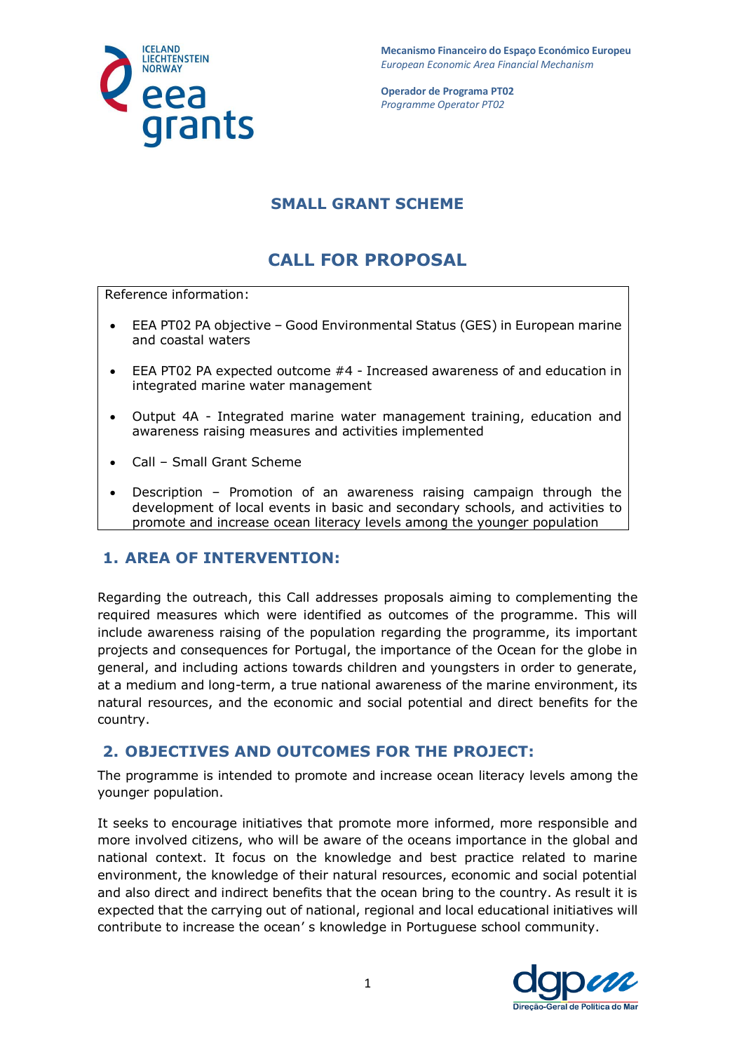

**Mecanismo Financeiro do Espaço Económico Europeu**  *European Economic Area Financial Mechanism* 

**Operador de Programa PT02**  *Programme Operator PT02*

# **SMALL GRANT SCHEME**

# **CALL FOR PROPOSAL**

Reference information:

- EEA PT02 PA objective Good Environmental Status (GES) in European marine and coastal waters
- EEA PT02 PA expected outcome #4 Increased awareness of and education in integrated marine water management
- Output 4A Integrated marine water management training, education and awareness raising measures and activities implemented
- Call Small Grant Scheme
- Description Promotion of an awareness raising campaign through the development of local events in basic and secondary schools, and activities to promote and increase ocean literacy levels among the younger population

## **1. AREA OF INTERVENTION:**

Regarding the outreach, this Call addresses proposals aiming to complementing the required measures which were identified as outcomes of the programme. This will include awareness raising of the population regarding the programme, its important projects and consequences for Portugal, the importance of the Ocean for the globe in general, and including actions towards children and youngsters in order to generate, at a medium and long-term, a true national awareness of the marine environment, its natural resources, and the economic and social potential and direct benefits for the country.

## **2. OBJECTIVES AND OUTCOMES FOR THE PROJECT:**

The programme is intended to promote and increase ocean literacy levels among the younger population.

It seeks to encourage initiatives that promote more informed, more responsible and more involved citizens, who will be aware of the oceans importance in the global and national context. It focus on the knowledge and best practice related to marine environment, the knowledge of their natural resources, economic and social potential and also direct and indirect benefits that the ocean bring to the country. As result it is expected that the carrying out of national, regional and local educational initiatives will contribute to increase the ocean' s knowledge in Portuguese school community.

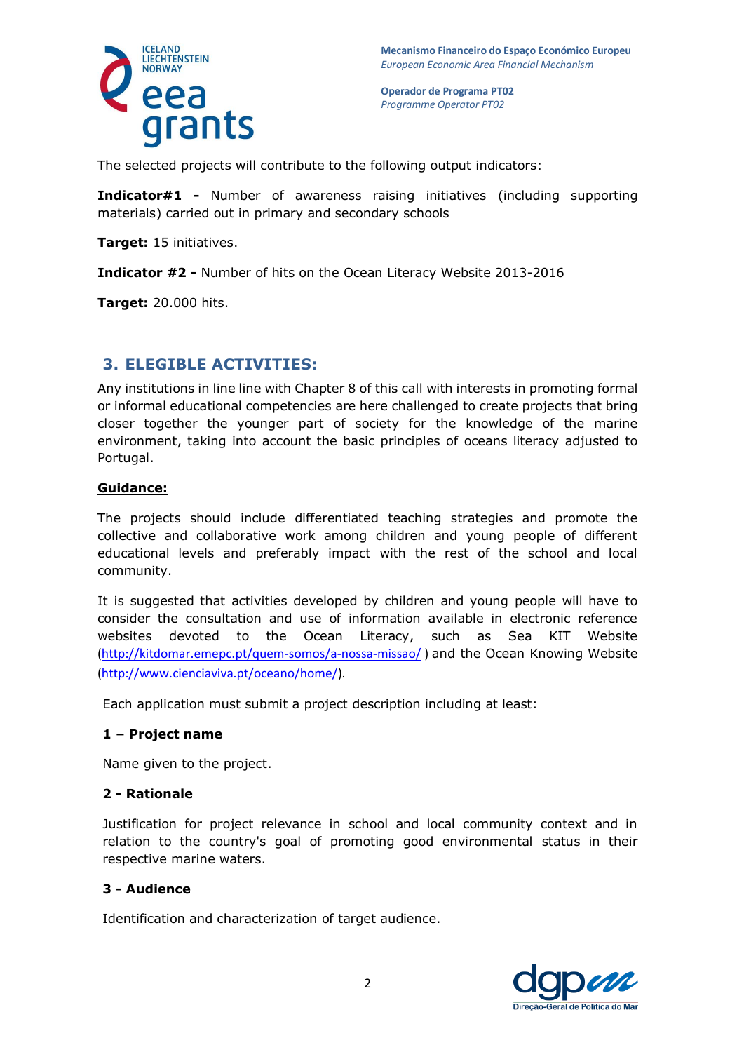

The selected projects will contribute to the following output indicators:

**Indicator#1 -** Number of awareness raising initiatives (including supporting materials) carried out in primary and secondary schools

**Target:** 15 initiatives.

**Indicator #2 -** Number of hits on the Ocean Literacy Website 2013-2016

**Target:** 20.000 hits.

### **3. ELEGIBLE ACTIVITIES:**

Any institutions in line line with Chapter 8 of this call with interests in promoting formal or informal educational competencies are here challenged to create projects that bring closer together the younger part of society for the knowledge of the marine environment, taking into account the basic principles of oceans literacy adjusted to Portugal.

### **Guidance:**

The projects should include differentiated teaching strategies and promote the collective and collaborative work among children and young people of different educational levels and preferably impact with the rest of the school and local community.

It is suggested that activities developed by children and young people will have to consider the consultation and use of information available in electronic reference websites devoted to the Ocean Literacy, such as Sea KIT Website [\(http://kitdomar.emepc.pt/quem-somos/a-nossa-missao/](http://kitdomar.emepc.pt/quem-somos/a-nossa-missao/)) and the Ocean Knowing Website [\(http://www.cienciaviva.pt/oceano/home/\)](http://www.cienciaviva.pt/oceano/home/).

Each application must submit a project description including at least:

### **1 – Project name**

Name given to the project.

#### **2 - Rationale**

Justification for project relevance in school and local community context and in relation to the country's goal of promoting good environmental status in their respective marine waters.

#### **3 - Audience**

Identification and characterization of target audience.

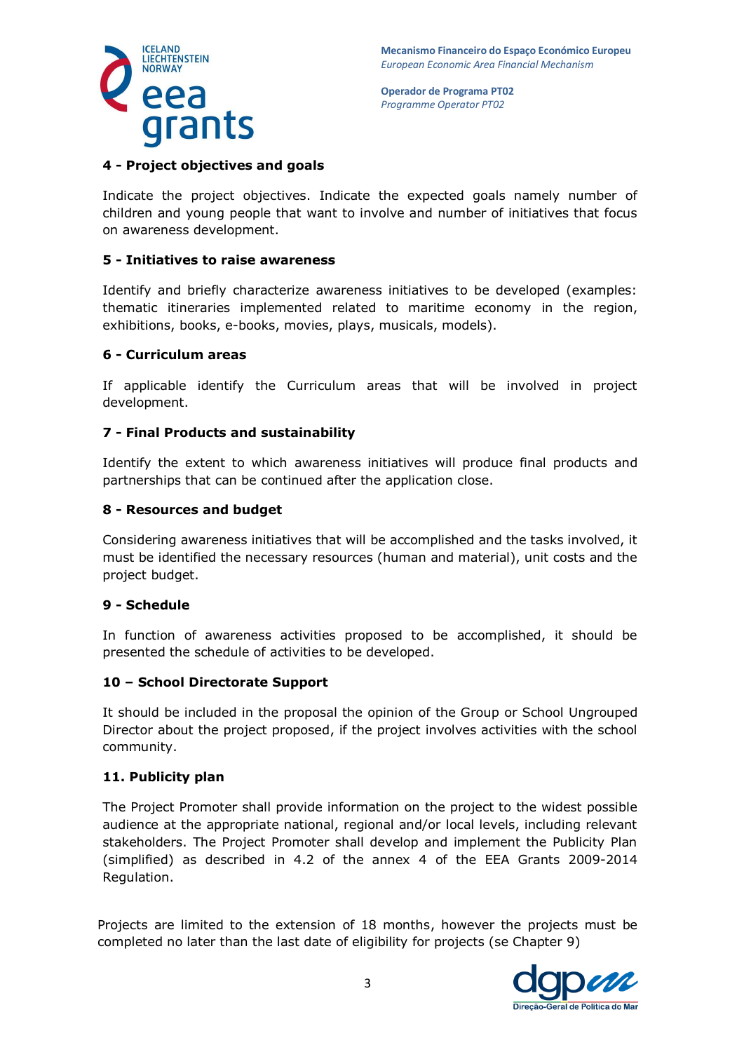

### **4 - Project objectives and goals**

Indicate the project objectives. Indicate the expected goals namely number of children and young people that want to involve and number of initiatives that focus on awareness development.

### **5 - Initiatives to raise awareness**

Identify and briefly characterize awareness initiatives to be developed (examples: thematic itineraries implemented related to maritime economy in the region, exhibitions, books, e-books, movies, plays, musicals, models).

### **6 - Curriculum areas**

If applicable identify the Curriculum areas that will be involved in project development.

### **7 - Final Products and sustainability**

Identify the extent to which awareness initiatives will produce final products and partnerships that can be continued after the application close.

### **8 - Resources and budget**

Considering awareness initiatives that will be accomplished and the tasks involved, it must be identified the necessary resources (human and material), unit costs and the project budget.

### **9 - Schedule**

In function of awareness activities proposed to be accomplished, it should be presented the schedule of activities to be developed.

### **10 – School Directorate Support**

It should be included in the proposal the opinion of the Group or School Ungrouped Director about the project proposed, if the project involves activities with the school community.

#### **11. Publicity plan**

The Project Promoter shall provide information on the project to the widest possible audience at the appropriate national, regional and/or local levels, including relevant stakeholders. The Project Promoter shall develop and implement the Publicity Plan (simplified) as described in 4.2 of the annex 4 of the EEA Grants 2009-2014 Regulation.

Projects are limited to the extension of 18 months, however the projects must be completed no later than the last date of eligibility for projects (se Chapter 9)

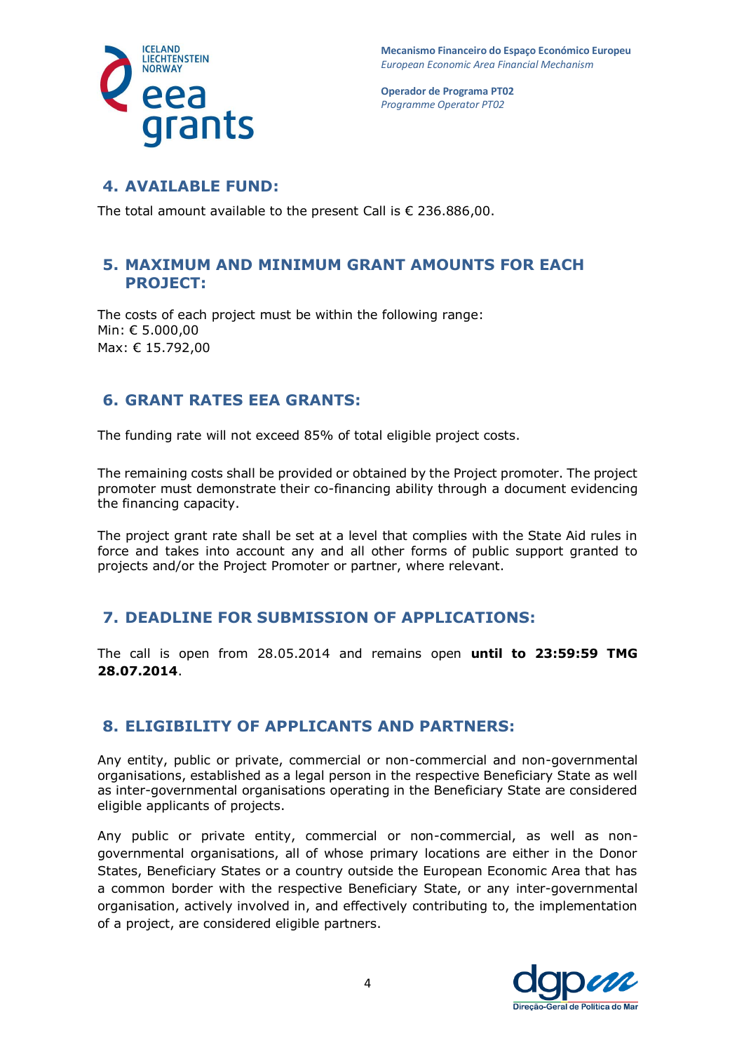



### **4. AVAILABLE FUND:**

The total amount available to the present Call is € 236.886,00.

### **5. MAXIMUM AND MINIMUM GRANT AMOUNTS FOR EACH PROJECT:**

The costs of each project must be within the following range: Min: € 5.000,00 Max: € 15.792,00

## **6. GRANT RATES EEA GRANTS:**

The funding rate will not exceed 85% of total eligible project costs.

The remaining costs shall be provided or obtained by the Project promoter. The project promoter must demonstrate their co-financing ability through a document evidencing the financing capacity.

The project grant rate shall be set at a level that complies with the State Aid rules in force and takes into account any and all other forms of public support granted to projects and/or the Project Promoter or partner, where relevant.

## **7. DEADLINE FOR SUBMISSION OF APPLICATIONS:**

The call is open from 28.05.2014 and remains open **until to 23:59:59 TMG 28.07.2014**.

## **8. ELIGIBILITY OF APPLICANTS AND PARTNERS:**

Any entity, public or private, commercial or non-commercial and non-governmental organisations, established as a legal person in the respective Beneficiary State as well as inter-governmental organisations operating in the Beneficiary State are considered eligible applicants of projects.

Any public or private entity, commercial or non-commercial, as well as nongovernmental organisations, all of whose primary locations are either in the Donor States, Beneficiary States or a country outside the European Economic Area that has a common border with the respective Beneficiary State, or any inter-governmental organisation, actively involved in, and effectively contributing to, the implementation of a project, are considered eligible partners.

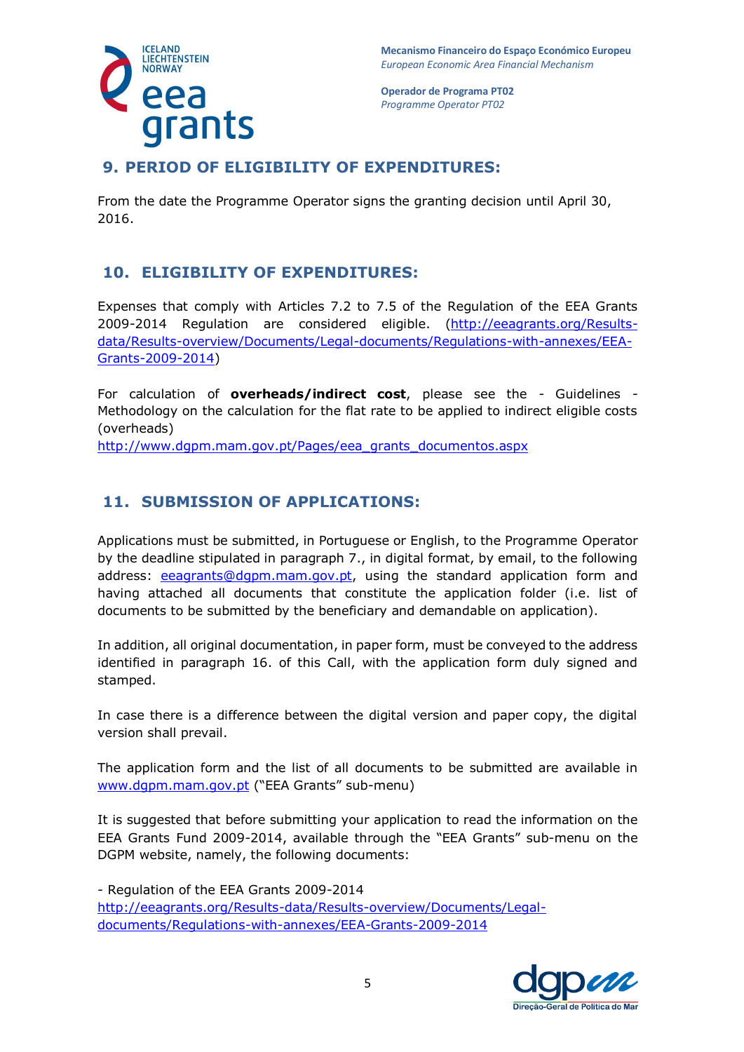



# **9. PERIOD OF ELIGIBILITY OF EXPENDITURES:**

From the date the Programme Operator signs the granting decision until April 30, 2016.

## **10. ELIGIBILITY OF EXPENDITURES:**

Expenses that comply with Articles 7.2 to 7.5 of the Regulation of the EEA Grants 2009-2014 Regulation are considered eligible. [\(http://eeagrants.org/Results](http://eeagrants.org/Results-data/Results-overview/Documents/Legal-documents/Regulations-with-annexes/EEA-Grants-2009-2014)[data/Results-overview/Documents/Legal-documents/Regulations-with-annexes/EEA-](http://eeagrants.org/Results-data/Results-overview/Documents/Legal-documents/Regulations-with-annexes/EEA-Grants-2009-2014)[Grants-2009-2014\)](http://eeagrants.org/Results-data/Results-overview/Documents/Legal-documents/Regulations-with-annexes/EEA-Grants-2009-2014)

For calculation of **overheads/indirect cost**, please see the - Guidelines - Methodology on the calculation for the flat rate to be applied to indirect eligible costs (overheads)

[http://www.dgpm.mam.gov.pt/Pages/eea\\_grants\\_documentos.aspx](http://www.dgpm.mam.gov.pt/Pages/eea_grants_documentos.aspx)

# **11. SUBMISSION OF APPLICATIONS:**

Applications must be submitted, in Portuguese or English, to the Programme Operator by the deadline stipulated in paragraph 7., in digital format, by email, to the following address: [eeagrants@dgpm.mam.gov.pt,](mailto:eeagrants@dgpm.mam.gov.pt) using the standard application form and having attached all documents that constitute the application folder (i.e. list of documents to be submitted by the beneficiary and demandable on application).

In addition, all original documentation, in paper form, must be conveyed to the address identified in paragraph 16. of this Call, with the application form duly signed and stamped.

In case there is a difference between the digital version and paper copy, the digital version shall prevail.

The application form and the list of all documents to be submitted are available in [www.dgpm.mam.gov.pt](http://www.dgpm.mam.gov.pt/) ("EEA Grants" sub-menu)

It is suggested that before submitting your application to read the information on the EEA Grants Fund 2009-2014, available through the "EEA Grants" sub-menu on the DGPM website, namely, the following documents:

- Regulation of the EEA Grants 2009-2014 [http://eeagrants.org/Results-data/Results-overview/Documents/Legal](http://eeagrants.org/Results-data/Results-overview/Documents/Legal-documents/Regulations-with-annexes/EEA-Grants-2009-2014)[documents/Regulations-with-annexes/EEA-Grants-2009-2014](http://eeagrants.org/Results-data/Results-overview/Documents/Legal-documents/Regulations-with-annexes/EEA-Grants-2009-2014)

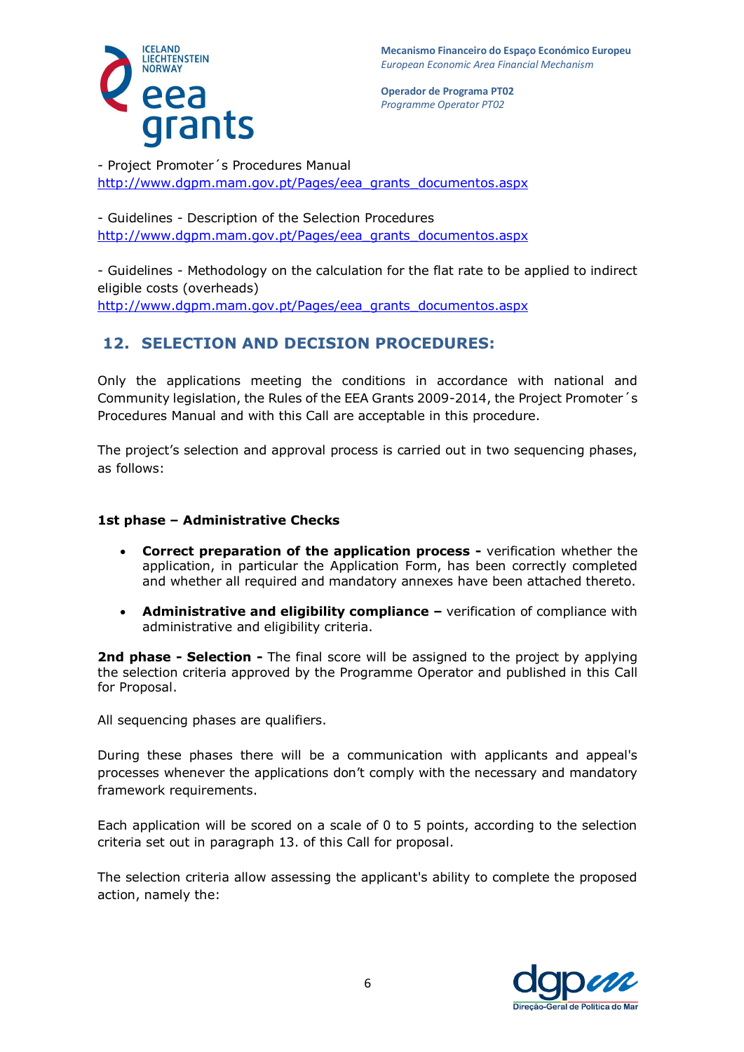

- Project Promoter´s Procedures Manual [http://www.dgpm.mam.gov.pt/Pages/eea\\_grants\\_documentos.aspx](http://www.dgpm.mam.gov.pt/Pages/eea_grants_documentos.aspx)

- Guidelines - Description of the Selection Procedures [http://www.dgpm.mam.gov.pt/Pages/eea\\_grants\\_documentos.aspx](http://www.dgpm.mam.gov.pt/Pages/eea_grants_documentos.aspx)

- Guidelines - Methodology on the calculation for the flat rate to be applied to indirect eligible costs (overheads) http://www.dqpm.mam.gov.pt/Pages/eea\_grants\_documentos.aspx

# **12. SELECTION AND DECISION PROCEDURES:**

Only the applications meeting the conditions in accordance with national and Community legislation, the Rules of the EEA Grants 2009-2014, the Project Promoter´s Procedures Manual and with this Call are acceptable in this procedure.

The project's selection and approval process is carried out in two sequencing phases, as follows:

### **1st phase – Administrative Checks**

- **Correct preparation of the application process -** verification whether the application, in particular the Application Form, has been correctly completed and whether all required and mandatory annexes have been attached thereto.
- **Administrative and eligibility compliance -** verification of compliance with administrative and eligibility criteria.

**2nd phase - Selection -** The final score will be assigned to the project by applying the selection criteria approved by the Programme Operator and published in this Call for Proposal.

All sequencing phases are qualifiers.

During these phases there will be a communication with applicants and appeal's processes whenever the applications don't comply with the necessary and mandatory framework requirements.

Each application will be scored on a scale of 0 to 5 points, according to the selection criteria set out in paragraph 13. of this Call for proposal.

The selection criteria allow assessing the applicant's ability to complete the proposed action, namely the:

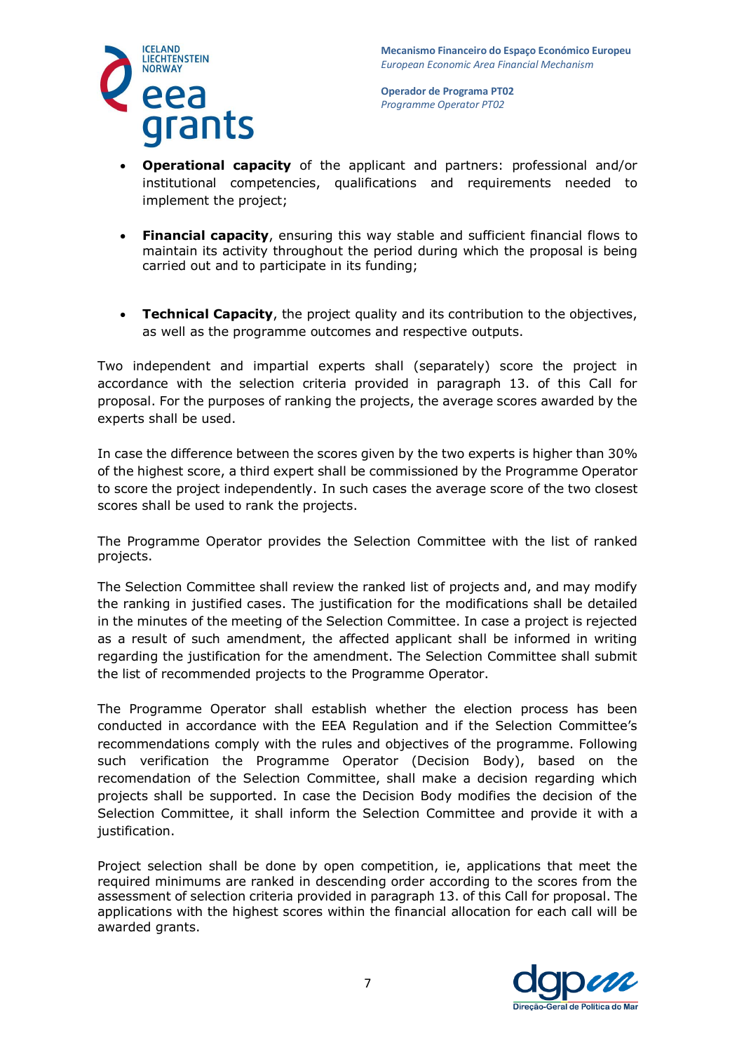

- **Operational capacity** of the applicant and partners: professional and/or institutional competencies, qualifications and requirements needed to implement the project;
- **Financial capacity**, ensuring this way stable and sufficient financial flows to maintain its activity throughout the period during which the proposal is being carried out and to participate in its funding;
- **Technical Capacity**, the project quality and its contribution to the objectives, as well as the programme outcomes and respective outputs.

Two independent and impartial experts shall (separately) score the project in accordance with the selection criteria provided in paragraph 13. of this Call for proposal. For the purposes of ranking the projects, the average scores awarded by the experts shall be used.

In case the difference between the scores given by the two experts is higher than 30% of the highest score, a third expert shall be commissioned by the Programme Operator to score the project independently. In such cases the average score of the two closest scores shall be used to rank the projects.

The Programme Operator provides the Selection Committee with the list of ranked projects.

The Selection Committee shall review the ranked list of projects and, and may modify the ranking in justified cases. The justification for the modifications shall be detailed in the minutes of the meeting of the Selection Committee. In case a project is rejected as a result of such amendment, the affected applicant shall be informed in writing regarding the justification for the amendment. The Selection Committee shall submit the list of recommended projects to the Programme Operator.

The Programme Operator shall establish whether the election process has been conducted in accordance with the EEA Regulation and if the Selection Committee's recommendations comply with the rules and objectives of the programme. Following such verification the Programme Operator (Decision Body), based on the recomendation of the Selection Committee, shall make a decision regarding which projects shall be supported. In case the Decision Body modifies the decision of the Selection Committee, it shall inform the Selection Committee and provide it with a justification.

Project selection shall be done by open competition, ie, applications that meet the required minimums are ranked in descending order according to the scores from the assessment of selection criteria provided in paragraph 13. of this Call for proposal. The applications with the highest scores within the financial allocation for each call will be awarded grants.

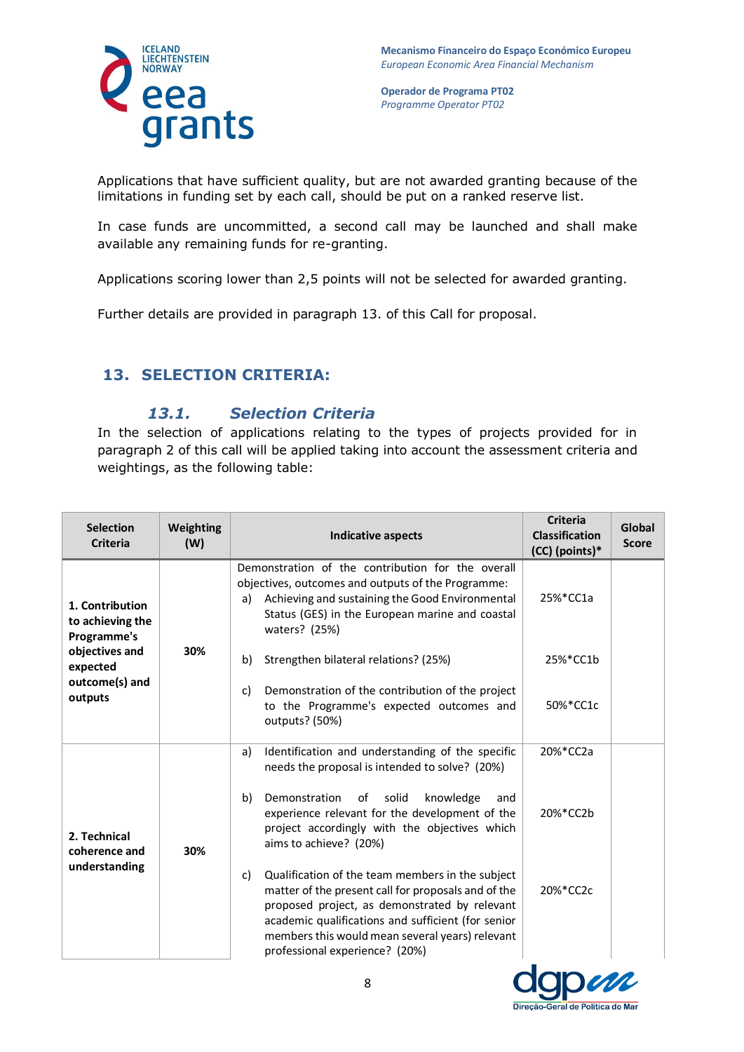

Applications that have sufficient quality, but are not awarded granting because of the limitations in funding set by each call, should be put on a ranked reserve list.

In case funds are uncommitted, a second call may be launched and shall make available any remaining funds for re-granting.

Applications scoring lower than 2,5 points will not be selected for awarded granting.

Further details are provided in paragraph 13. of this Call for proposal.

# **13. SELECTION CRITERIA:**

## *13.1. Selection Criteria*

In the selection of applications relating to the types of projects provided for in paragraph 2 of this call will be applied taking into account the assessment criteria and weightings, as the following table:

| <b>Selection</b><br><b>Criteria</b>                                                                           | Weighting<br>(W) | <b>Indicative aspects</b>                                                                                                                                                                                                                                                                                 | <b>Criteria</b><br><b>Classification</b><br>(CC) (points)* | Global<br><b>Score</b> |
|---------------------------------------------------------------------------------------------------------------|------------------|-----------------------------------------------------------------------------------------------------------------------------------------------------------------------------------------------------------------------------------------------------------------------------------------------------------|------------------------------------------------------------|------------------------|
| 1. Contribution<br>to achieving the<br>Programme's<br>objectives and<br>expected<br>outcome(s) and<br>outputs | 30%              | Demonstration of the contribution for the overall<br>objectives, outcomes and outputs of the Programme:<br>Achieving and sustaining the Good Environmental<br>a)<br>Status (GES) in the European marine and coastal<br>waters? (25%)                                                                      | 25%*CC1a                                                   |                        |
|                                                                                                               |                  | Strengthen bilateral relations? (25%)<br>b)                                                                                                                                                                                                                                                               | 25%*CC1b                                                   |                        |
|                                                                                                               |                  | Demonstration of the contribution of the project<br>C)<br>to the Programme's expected outcomes and<br>outputs? (50%)                                                                                                                                                                                      | 50%*CC1c                                                   |                        |
| 2. Technical<br>coherence and<br>understanding                                                                | 30%              | Identification and understanding of the specific<br>a)<br>needs the proposal is intended to solve? (20%)                                                                                                                                                                                                  | 20%*CC2a                                                   |                        |
|                                                                                                               |                  | b)<br>Demonstration<br>of<br>solid<br>knowledge<br>and<br>experience relevant for the development of the<br>project accordingly with the objectives which<br>aims to achieve? (20%)                                                                                                                       | 20%*CC2b                                                   |                        |
|                                                                                                               |                  | Qualification of the team members in the subject<br>C)<br>matter of the present call for proposals and of the<br>proposed project, as demonstrated by relevant<br>academic qualifications and sufficient (for senior<br>members this would mean several years) relevant<br>professional experience? (20%) | 20%*CC2c                                                   |                        |

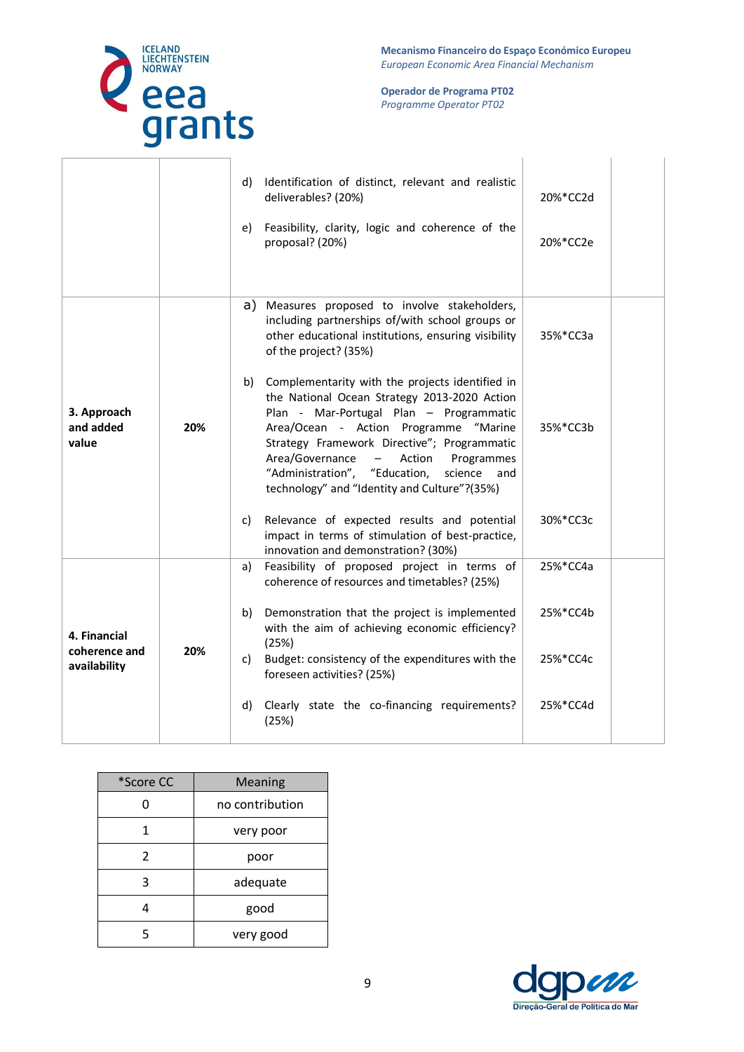

**Mecanismo Financeiro do Espaço Económico Europeu**  *European Economic Area Financial Mechanism* 

**Operador de Programa PT02**  *Programme Operator PT02*

|                                               |     | e) | d) Identification of distinct, relevant and realistic<br>deliverables? (20%)<br>Feasibility, clarity, logic and coherence of the<br>proposal? (20%)                                                                                                                                                                                                                                                             | 20%*CC2d<br>20%*CC2e |  |
|-----------------------------------------------|-----|----|-----------------------------------------------------------------------------------------------------------------------------------------------------------------------------------------------------------------------------------------------------------------------------------------------------------------------------------------------------------------------------------------------------------------|----------------------|--|
|                                               |     | a) | Measures proposed to involve stakeholders,<br>including partnerships of/with school groups or<br>other educational institutions, ensuring visibility<br>of the project? (35%)                                                                                                                                                                                                                                   | 35%*CC3a             |  |
| 3. Approach<br>and added<br>value             | 20% |    | b) Complementarity with the projects identified in<br>the National Ocean Strategy 2013-2020 Action<br>Plan - Mar-Portugal Plan - Programmatic<br>Area/Ocean - Action Programme "Marine<br>Strategy Framework Directive"; Programmatic<br>Area/Governance<br>Action<br>$\overline{\phantom{0}}$<br>Programmes<br>"Administration", "Education,<br>science<br>and<br>technology" and "Identity and Culture"?(35%) | 35%*CC3b             |  |
|                                               |     | C) | Relevance of expected results and potential<br>impact in terms of stimulation of best-practice,<br>innovation and demonstration? (30%)                                                                                                                                                                                                                                                                          | 30%*CC3c             |  |
|                                               |     | a) | Feasibility of proposed project in terms of<br>coherence of resources and timetables? (25%)                                                                                                                                                                                                                                                                                                                     | 25%*CC4a             |  |
| 4. Financial<br>coherence and<br>availability | 20% | b) | Demonstration that the project is implemented<br>with the aim of achieving economic efficiency?<br>(25%)                                                                                                                                                                                                                                                                                                        | 25%*CC4b             |  |
|                                               |     | C) | Budget: consistency of the expenditures with the<br>foreseen activities? (25%)                                                                                                                                                                                                                                                                                                                                  | 25%*CC4c             |  |
|                                               |     | d) | Clearly state the co-financing requirements?<br>(25%)                                                                                                                                                                                                                                                                                                                                                           | 25%*CC4d             |  |

| *Score CC | <b>Meaning</b>  |  |
|-----------|-----------------|--|
| ი         | no contribution |  |
| 1         | very poor       |  |
| 2         | poor            |  |
| ੨         | adequate        |  |
|           | good            |  |
| 5         | very good       |  |

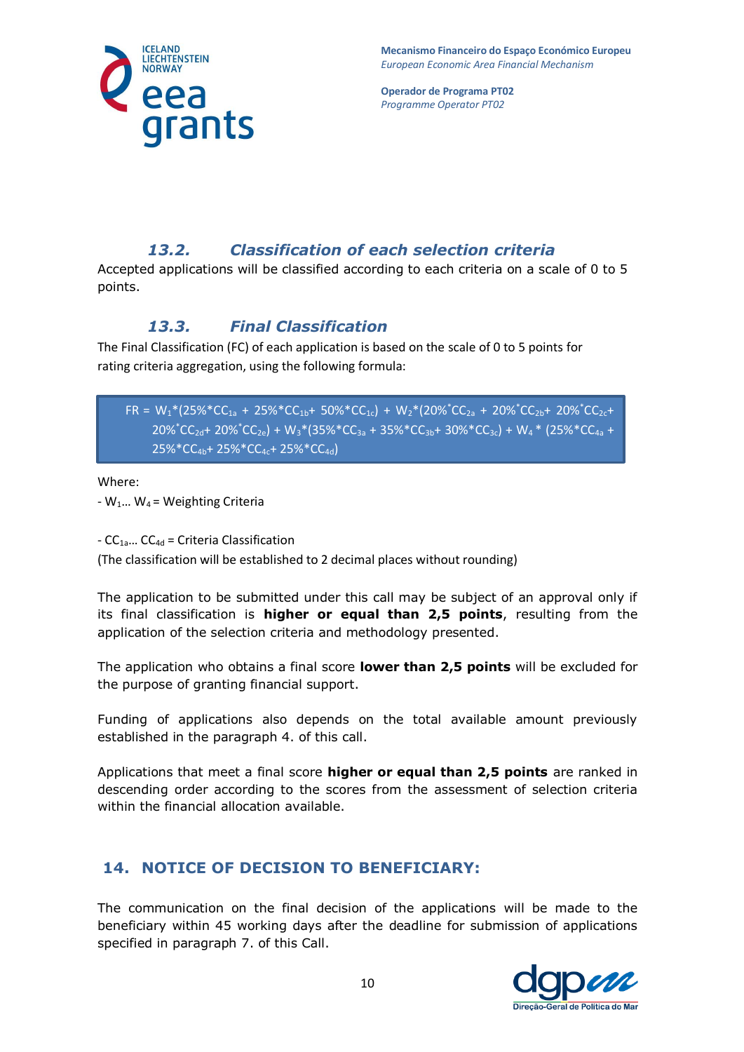

**Mecanismo Financeiro do Espaço Económico Europeu**  *European Economic Area Financial Mechanism* 

**Operador de Programa PT02**  *Programme Operator PT02*

# *13.2. Classification of each selection criteria*

Accepted applications will be classified according to each criteria on a scale of 0 to 5 points.

# *13.3. Final Classification*

The Final Classification (FC) of each application is based on the scale of 0 to 5 points for rating criteria aggregation, using the following formula:

 $FR = W_1*(25\%*CC_{1a} + 25\%*CC_{1b} + 50\%*CC_{1c}) + W_2*(20\%*CC_{2a} + 20\%*CC_{2b} + 20\%*CC_{2c} +$  $20\%^{\ast}$ CC<sub>2d</sub>+ 20% $^{\ast}$ CC<sub>2e</sub>) + W<sub>3</sub> $^{\ast}$ (35% $^{\ast}$ CC<sub>3a</sub> + 35% $^{\ast}$ CC<sub>3b</sub>+ 30% $^{\ast}$ CC<sub>3c</sub>) + W<sub>4</sub> $^{\ast}$  (25% $^{\ast}$ CC<sub>4a</sub> + 25%\*CC4b+ 25%\*CC4c+ 25%\*CC4d)

Where:

 $-W_1...$  W<sub>4</sub> = Weighting Criteria

-  $CC_{1a}$ ...  $CC_{4d}$  = Criteria Classification

(The classification will be established to 2 decimal places without rounding)

The application to be submitted under this call may be subject of an approval only if its final classification is **higher or equal than 2,5 points**, resulting from the application of the selection criteria and methodology presented.

The application who obtains a final score **lower than 2,5 points** will be excluded for the purpose of granting financial support.

Funding of applications also depends on the total available amount previously established in the paragraph 4. of this call.

Applications that meet a final score **higher or equal than 2,5 points** are ranked in descending order according to the scores from the assessment of selection criteria within the financial allocation available.

# **14. NOTICE OF DECISION TO BENEFICIARY:**

The communication on the final decision of the applications will be made to the beneficiary within 45 working days after the deadline for submission of applications specified in paragraph 7. of this Call.